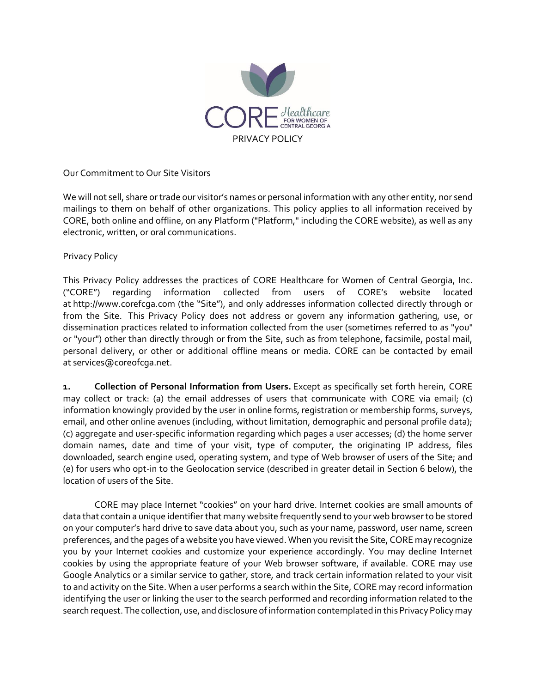

Our Commitment to Our Site Visitors

We will not sell, share or trade our visitor's names or personal information with any other entity, nor send mailings to them on behalf of other organizations. This policy applies to all information received by CORE, both online and offline, on any Platform ("Platform," including the CORE website), as well as any electronic, written, or oral communications.

## Privacy Policy

This Privacy Policy addresses the practices of CORE Healthcare for Women of Central Georgia, Inc. ("CORE") regarding information collected from users of CORE's website located at http://www.corefcga.com (the "Site"), and only addresses information collected directly through or from the Site. This Privacy Policy does not address or govern any information gathering, use, or dissemination practices related to information collected from the user (sometimes referred to as "you" or "your") other than directly through or from the Site, such as from telephone, facsimile, postal mail, personal delivery, or other or additional offline means or media. CORE can be contacted by email at services@coreofcga.net.

**1. Collection of Personal Information from Users.** Except as specifically set forth herein, CORE may collect or track: (a) the email addresses of users that communicate with CORE via email; (c) information knowingly provided by the user in online forms, registration or membership forms, surveys, email, and other online avenues (including, without limitation, demographic and personal profile data); (c) aggregate and user-specific information regarding which pages a user accesses; (d) the home server domain names, date and time of your visit, type of computer, the originating IP address, files downloaded, search engine used, operating system, and type of Web browser of users of the Site; and (e) for users who opt-in to the Geolocation service (described in greater detail in Section 6 below), the location of users of the Site.

CORE may place Internet "cookies" on your hard drive. Internet cookies are small amounts of data that contain a unique identifier that many website frequently send to your web browser to be stored on your computer's hard drive to save data about you, such as your name, password, user name, screen preferences, and the pages of a website you have viewed. When you revisit the Site, CORE may recognize you by your Internet cookies and customize your experience accordingly. You may decline Internet cookies by using the appropriate feature of your Web browser software, if available. CORE may use Google Analytics or a similar service to gather, store, and track certain information related to your visit to and activity on the Site. When a user performs a search within the Site, CORE may record information identifying the user or linking the user to the search performed and recording information related to the search request. The collection, use, and disclosure of information contemplated in this Privacy Policy may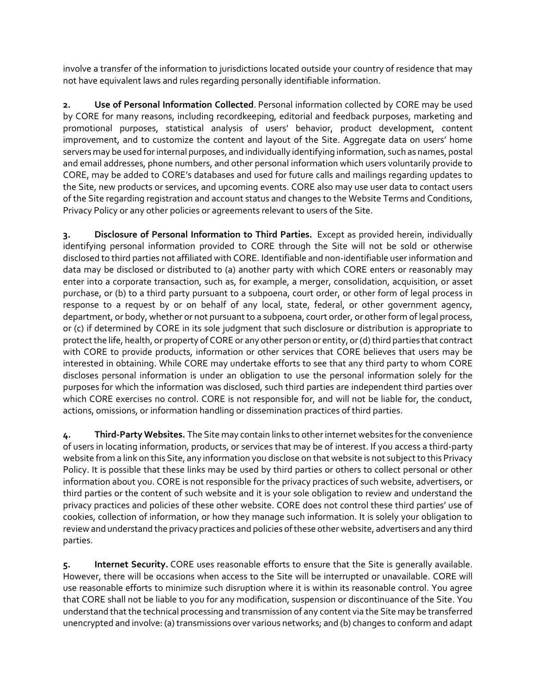involve a transfer of the information to jurisdictions located outside your country of residence that may not have equivalent laws and rules regarding personally identifiable information.

**2. Use of Personal Information Collected**. Personal information collected by CORE may be used by CORE for many reasons, including recordkeeping, editorial and feedback purposes, marketing and promotional purposes, statistical analysis of users' behavior, product development, content improvement, and to customize the content and layout of the Site. Aggregate data on users' home servers may be used for internal purposes, and individually identifying information, such as names, postal and email addresses, phone numbers, and other personal information which users voluntarily provide to CORE, may be added to CORE's databases and used for future calls and mailings regarding updates to the Site, new products or services, and upcoming events. CORE also may use user data to contact users of the Site regarding registration and account status and changes to the Website Terms and Conditions, Privacy Policy or any other policies or agreements relevant to users of the Site.

**3. Disclosure of Personal Information to Third Parties.** Except as provided herein, individually identifying personal information provided to CORE through the Site will not be sold or otherwise disclosed to third parties not affiliated with CORE. Identifiable and non-identifiable user information and data may be disclosed or distributed to (a) another party with which CORE enters or reasonably may enter into a corporate transaction, such as, for example, a merger, consolidation, acquisition, or asset purchase, or (b) to a third party pursuant to a subpoena, court order, or other form of legal process in response to a request by or on behalf of any local, state, federal, or other government agency, department, or body, whether or not pursuant to a subpoena, court order, or other form of legal process, or (c) if determined by CORE in its sole judgment that such disclosure or distribution is appropriate to protect the life, health, or property of CORE or any other person or entity, or (d) third parties that contract with CORE to provide products, information or other services that CORE believes that users may be interested in obtaining. While CORE may undertake efforts to see that any third party to whom CORE discloses personal information is under an obligation to use the personal information solely for the purposes for which the information was disclosed, such third parties are independent third parties over which CORE exercises no control. CORE is not responsible for, and will not be liable for, the conduct, actions, omissions, or information handling or dissemination practices of third parties.

**4. Third-Party Websites.** The Site may contain links to other internet websites for the convenience of users in locating information, products, or services that may be of interest. If you access a third-party website from a link on this Site, any information you disclose on that website is not subject to this Privacy Policy. It is possible that these links may be used by third parties or others to collect personal or other information about you. CORE is not responsible for the privacy practices of such website, advertisers, or third parties or the content of such website and it is your sole obligation to review and understand the privacy practices and policies of these other website. CORE does not control these third parties' use of cookies, collection of information, or how they manage such information. It is solely your obligation to review and understand the privacy practices and policies of these other website, advertisers and any third parties.

**5. Internet Security.** CORE uses reasonable efforts to ensure that the Site is generally available. However, there will be occasions when access to the Site will be interrupted or unavailable. CORE will use reasonable efforts to minimize such disruption where it is within its reasonable control. You agree that CORE shall not be liable to you for any modification, suspension or discontinuance of the Site. You understand that the technical processing and transmission of any content via the Site may be transferred unencrypted and involve: (a) transmissions over various networks; and (b) changes to conform and adapt